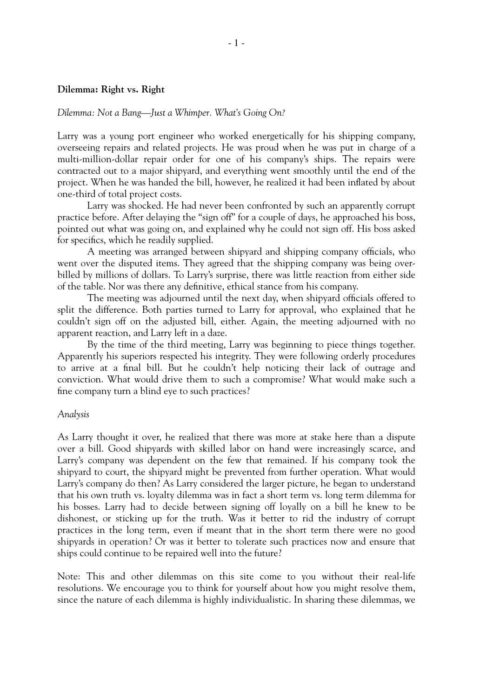## *Dilemma: Not a Bang—Just a Whimper. What's Going On?*

Larry was a young port engineer who worked energetically for his shipping company, overseeing repairs and related projects. He was proud when he was put in charge of a multi-million-dollar repair order for one of his company's ships. The repairs were contracted out to a major shipyard, and everything went smoothly until the end of the project. When he was handed the bill, however, he realized it had been inflated by about one-third of total project costs.

Larry was shocked. He had never been confronted by such an apparently corrupt practice before. After delaying the "sign off" for a couple of days, he approached his boss, pointed out what was going on, and explained why he could not sign off. His boss asked for specifics, which he readily supplied.

A meeting was arranged between shipyard and shipping company officials, who went over the disputed items. They agreed that the shipping company was being overbilled by millions of dollars. To Larry's surprise, there was little reaction from either side of the table. Nor was there any definitive, ethical stance from his company.

The meeting was adjourned until the next day, when shipyard officials offered to split the difference. Both parties turned to Larry for approval, who explained that he couldn't sign off on the adjusted bill, either. Again, the meeting adjourned with no apparent reaction, and Larry left in a daze.

By the time of the third meeting, Larry was beginning to piece things together. Apparently his superiors respected his integrity. They were following orderly procedures to arrive at a final bill. But he couldn't help noticing their lack of outrage and conviction. What would drive them to such a compromise? What would make such a fine company turn a blind eye to such practices?

# *Analysis*

As Larry thought it over, he realized that there was more at stake here than a dispute over a bill. Good shipyards with skilled labor on hand were increasingly scarce, and Larry's company was dependent on the few that remained. If his company took the shipyard to court, the shipyard might be prevented from further operation. What would Larry's company do then? As Larry considered the larger picture, he began to understand that his own truth vs. loyalty dilemma was in fact a short term vs. long term dilemma for his bosses. Larry had to decide between signing off loyally on a bill he knew to be dishonest, or sticking up for the truth. Was it better to rid the industry of corrupt practices in the long term, even if meant that in the short term there were no good shipyards in operation? Or was it better to tolerate such practices now and ensure that ships could continue to be repaired well into the future?

Note: This and other dilemmas on this site come to you without their real-life resolutions. We encourage you to think for yourself about how you might resolve them, since the nature of each dilemma is highly individualistic. In sharing these dilemmas, we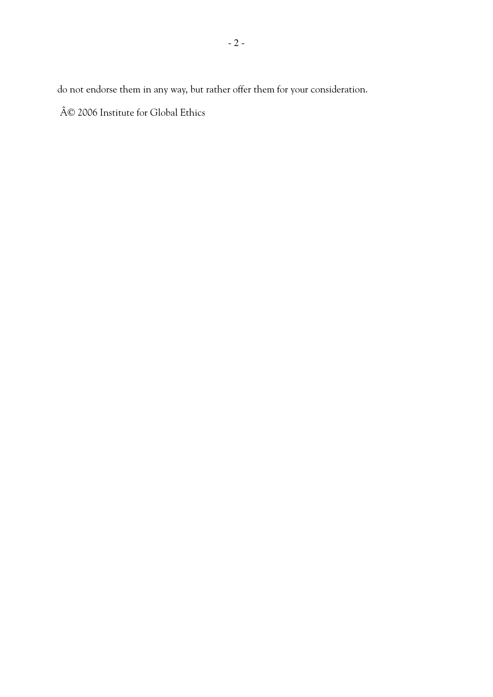do not endorse them in any way, but rather offer them for your consideration.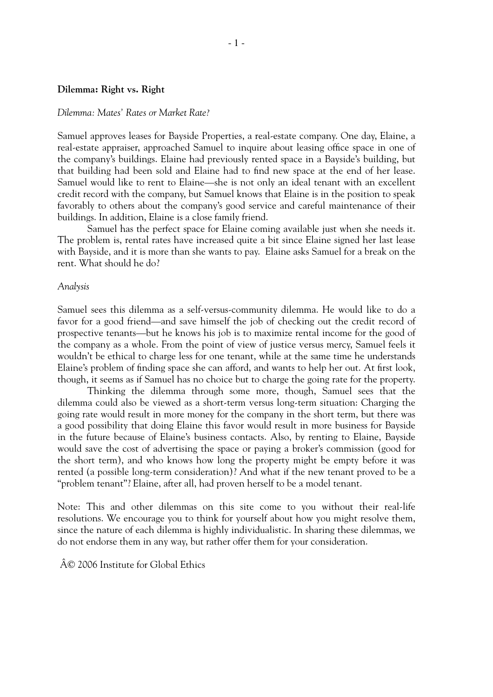#### *Dilemma: Mates' Rates or Market Rate?*

Samuel approves leases for Bayside Properties, a real-estate company. One day, Elaine, a real-estate appraiser, approached Samuel to inquire about leasing office space in one of the company's buildings. Elaine had previously rented space in a Bayside's building, but that building had been sold and Elaine had to find new space at the end of her lease. Samuel would like to rent to Elaine—she is not only an ideal tenant with an excellent credit record with the company, but Samuel knows that Elaine is in the position to speak favorably to others about the company's good service and careful maintenance of their buildings. In addition, Elaine is a close family friend.

Samuel has the perfect space for Elaine coming available just when she needs it. The problem is, rental rates have increased quite a bit since Elaine signed her last lease with Bayside, and it is more than she wants to pay. Elaine asks Samuel for a break on the rent. What should he do?

### *Analysis*

Samuel sees this dilemma as a self-versus-community dilemma. He would like to do a favor for a good friend—and save himself the job of checking out the credit record of prospective tenants—but he knows his job is to maximize rental income for the good of the company as a whole. From the point of view of justice versus mercy, Samuel feels it wouldn't be ethical to charge less for one tenant, while at the same time he understands Elaine's problem of finding space she can afford, and wants to help her out. At first look, though, it seems as if Samuel has no choice but to charge the going rate for the property.

Thinking the dilemma through some more, though, Samuel sees that the dilemma could also be viewed as a short-term versus long-term situation: Charging the going rate would result in more money for the company in the short term, but there was a good possibility that doing Elaine this favor would result in more business for Bayside in the future because of Elaine's business contacts. Also, by renting to Elaine, Bayside would save the cost of advertising the space or paying a broker's commission (good for the short term), and who knows how long the property might be empty before it was rented (a possible long-term consideration)? And what if the new tenant proved to be a "problem tenant"? Elaine, after all, had proven herself to be a model tenant.

Note: This and other dilemmas on this site come to you without their real-life resolutions. We encourage you to think for yourself about how you might resolve them, since the nature of each dilemma is highly individualistic. In sharing these dilemmas, we do not endorse them in any way, but rather offer them for your consideration.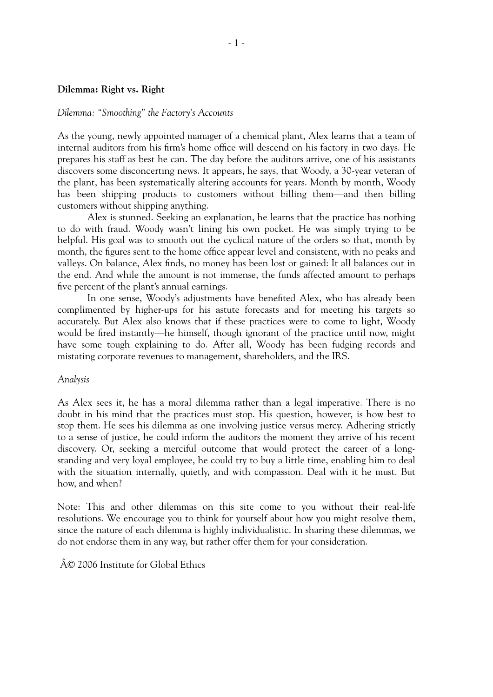## *Dilemma: "Smoothing" the Factory's Accounts*

As the young, newly appointed manager of a chemical plant, Alex learns that a team of internal auditors from his firm's home office will descend on his factory in two days. He prepares his staff as best he can. The day before the auditors arrive, one of his assistants discovers some disconcerting news. It appears, he says, that Woody, a 30-year veteran of the plant, has been systematically altering accounts for years. Month by month, Woody has been shipping products to customers without billing them—and then billing customers without shipping anything.

Alex is stunned. Seeking an explanation, he learns that the practice has nothing to do with fraud. Woody wasn't lining his own pocket. He was simply trying to be helpful. His goal was to smooth out the cyclical nature of the orders so that, month by month, the figures sent to the home office appear level and consistent, with no peaks and valleys. On balance, Alex finds, no money has been lost or gained: It all balances out in the end. And while the amount is not immense, the funds affected amount to perhaps five percent of the plant's annual earnings.

In one sense, Woody's adjustments have benefited Alex, who has already been complimented by higher-ups for his astute forecasts and for meeting his targets so accurately. But Alex also knows that if these practices were to come to light, Woody would be fired instantly—he himself, though ignorant of the practice until now, might have some tough explaining to do. After all, Woody has been fudging records and mistating corporate revenues to management, shareholders, and the IRS.

### *Analysis*

As Alex sees it, he has a moral dilemma rather than a legal imperative. There is no doubt in his mind that the practices must stop. His question, however, is how best to stop them. He sees his dilemma as one involving justice versus mercy. Adhering strictly to a sense of justice, he could inform the auditors the moment they arrive of his recent discovery. Or, seeking a merciful outcome that would protect the career of a longstanding and very loyal employee, he could try to buy a little time, enabling him to deal with the situation internally, quietly, and with compassion. Deal with it he must. But how, and when?

Note: This and other dilemmas on this site come to you without their real-life resolutions. We encourage you to think for yourself about how you might resolve them, since the nature of each dilemma is highly individualistic. In sharing these dilemmas, we do not endorse them in any way, but rather offer them for your consideration.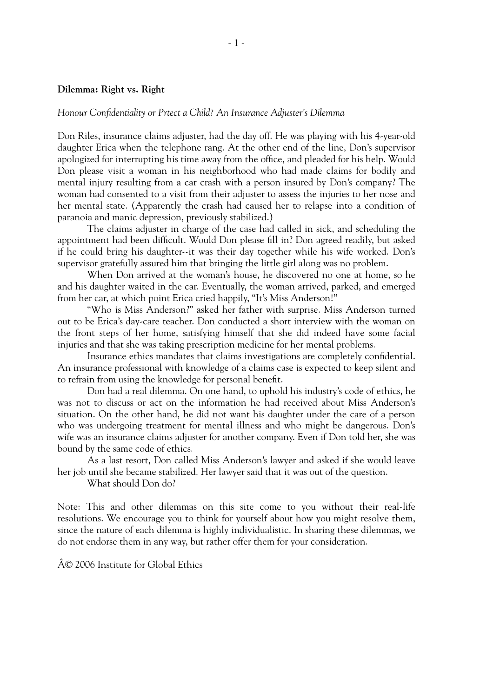## *Honour Confidentiality or Prtect a Child? An Insurance Adjuster's Dilemma*

Don Riles, insurance claims adjuster, had the day off. He was playing with his 4-year-old daughter Erica when the telephone rang. At the other end of the line, Don's supervisor apologized for interrupting his time away from the office, and pleaded for his help. Would Don please visit a woman in his neighborhood who had made claims for bodily and mental injury resulting from a car crash with a person insured by Don's company? The woman had consented to a visit from their adjuster to assess the injuries to her nose and her mental state. (Apparently the crash had caused her to relapse into a condition of paranoia and manic depression, previously stabilized.)

The claims adjuster in charge of the case had called in sick, and scheduling the appointment had been difficult. Would Don please fill in? Don agreed readily, but asked if he could bring his daughter--it was their day together while his wife worked. Don's supervisor gratefully assured him that bringing the little girl along was no problem.

When Don arrived at the woman's house, he discovered no one at home, so he and his daughter waited in the car. Eventually, the woman arrived, parked, and emerged from her car, at which point Erica cried happily, "It's Miss Anderson!"

"Who is Miss Anderson?" asked her father with surprise. Miss Anderson turned out to be Erica's day-care teacher. Don conducted a short interview with the woman on the front steps of her home, satisfying himself that she did indeed have some facial injuries and that she was taking prescription medicine for her mental problems.

Insurance ethics mandates that claims investigations are completely confidential. An insurance professional with knowledge of a claims case is expected to keep silent and to refrain from using the knowledge for personal benefit.

Don had a real dilemma. On one hand, to uphold his industry's code of ethics, he was not to discuss or act on the information he had received about Miss Anderson's situation. On the other hand, he did not want his daughter under the care of a person who was undergoing treatment for mental illness and who might be dangerous. Don's wife was an insurance claims adjuster for another company. Even if Don told her, she was bound by the same code of ethics.

As a last resort, Don called Miss Anderson's lawyer and asked if she would leave her job until she became stabilized. Her lawyer said that it was out of the question.

What should Don do?

Note: This and other dilemmas on this site come to you without their real-life resolutions. We encourage you to think for yourself about how you might resolve them, since the nature of each dilemma is highly individualistic. In sharing these dilemmas, we do not endorse them in any way, but rather offer them for your consideration.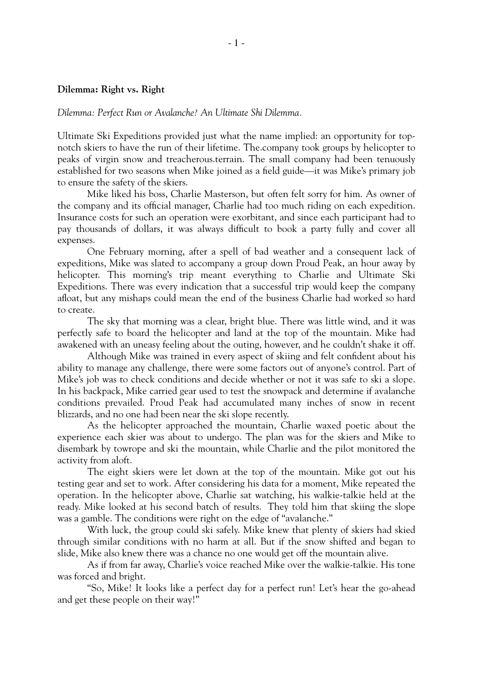*Dilemma: Perfect Run or Avalanche? An Ultimate Shi Dilemma.*

Ultimate Ski Expeditions provided just what the name implied: an opportunity for topnotch skiers to have the run of their lifetime. The.company took groups by helicopter to peaks of virgin snow and treacherous.terrain. The small company had been tenuously established for two seasons when Mike joined as a field guide—it was Mike's primary job to ensure the safety of the skiers.

Mike liked his boss, Charlie Masterson, but often felt sorry for him. As owner of the company and its official manager, Charlie had too much riding on each expedition. Insurance costs for such an operation were exorbitant, and since each participant had to pay thousands of dollars, it was always difficult to book a party fully and cover all expenses.

One February morning, after a spell of bad weather and a consequent lack of expeditions, Mike was slated to accompany a group down Proud Peak, an hour away by helicopter. This morning's trip meant everything to Charlie and Ultimate Ski Expeditions. There was every indication that a successful trip would keep the company afloat, but any mishaps could mean the end of the business Charlie had worked so hard to create.

The sky that morning was a clear, bright blue. There was little wind, and it was perfectly safe to board the helicopter and land at the top of the mountain. Mike had awakened with an uneasy feeling about the outing, however, and he couldn't shake it off.

Although Mike was trained in every aspect of skiing and felt confident about his ability to manage any challenge, there were some factors out of anyone's control. Part of Mike's job was to check conditions and decide whether or not it was safe to ski a slope. In his backpack, Mike carried gear used to test the snowpack and determine if avalanche conditions prevailed. Proud Peak had accumulated many inches of snow in recent blizzards, and no one had been near the ski slope recently.

As the helicopter approached the mountain, Charlie waxed poetic about the experience each skier was about to undergo. The plan was for the skiers and Mike to disembark by towrope and ski the mountain, while Charlie and the pilot monitored the activity from aloft.

The eight skiers were let down at the top of the mountain. Mike got out his testing gear and set to work. After considering his data for a moment, Mike repeated the operation. In the helicopter above, Charlie sat watching, his walkie-talkie held at the ready. Mike looked at his second batch of results. They told him that skiing the slope was a gamble. The conditions were right on the edge of "avalanche."

With luck, the group could ski safely. Mike knew that plenty of skiers had skied through similar conditions with no harm at all. But if the snow shifted and began to slide, Mike also knew there was a chance no one would get off the mountain alive.

As if from far away, Charlie's voice reached Mike over the walkie-talkie. His tone was forced and bright.

"So, Mike! It looks like a perfect day for a perfect run! Let's hear the go-ahead and get these people on their way!"